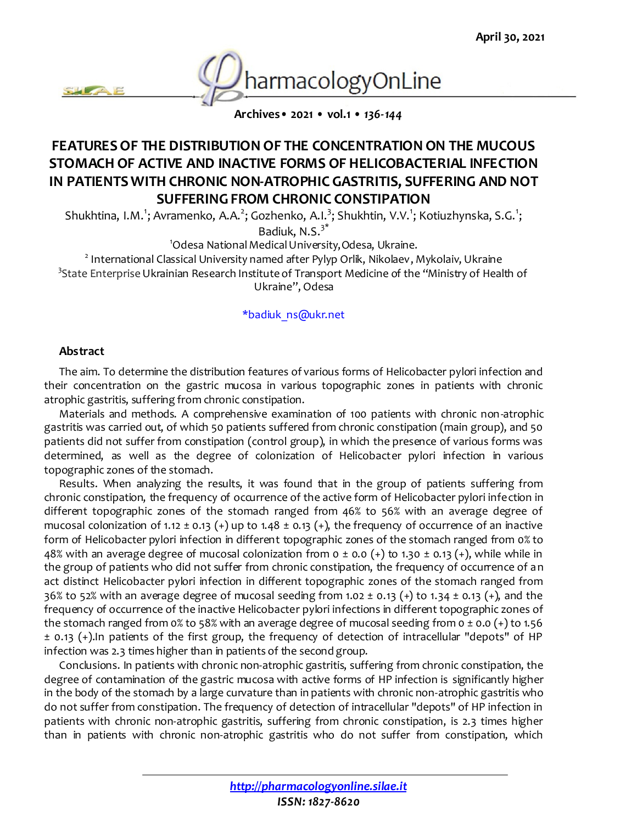

**Archives• 2021 • vol.1 •** *136-144*

# **FEATURES OF THE DISTRIBUTION OF THE CONCENTRATION ON THE MUCOUS STOMACH OF ACTIVE AND INACTIVE FORMS OF HELICOBACTERIAL INFECTION IN PATIENTS WITH CHRONIC NON-ATROPHIC GASTRITIS, SUFFERING AND NOT SUFFERING FROM CHRONIC CONSTIPATION**

Shukhtina, I.M.<sup>1</sup>; Avramenko, A.A.<sup>2</sup>; Gozhenko, A.I.<sup>3</sup>; Shukhtin, V.V.<sup>1</sup>; Kotiuzhynska, S.G.<sup>1</sup>;

Badiuk, N.S.3\*

<sup>1</sup>Odesa National Medical University, Odesa, Ukraine.

2 International Classical University named after Pylyp Orlik, Nikolaev, Mykolaiv, Ukraine <sup>3</sup>State Enterprise Ukrainian Research Institute of Transport Medicine of the "Ministry of Health of Ukraine", Odesa

#### \*badiuk\_ns@ukr.net

#### **Abstract**

The aim. To determine the distribution features of various forms of Helicobacter pylori infection and their concentration on the gastric mucosa in various topographic zones in patients with chronic atrophic gastritis, suffering from chronic constipation.

Materials and methods. A comprehensive examination of 100 patients with chronic non-atrophic gastritis was carried out, of which 50 patients suffered from chronic constipation (main group), and 50 patients did not suffer from constipation (control group), in which the presence of various forms was determined, as well as the degree of colonization of Helicobacter pylori infection in various topographic zones of the stomach.

Results. When analyzing the results, it was found that in the group of patients suffering from chronic constipation, the frequency of occurrence of the active form of Helicobacter pylori infection in different topographic zones of the stomach ranged from 46% to 56% with an average degree of mucosal colonization of 1.12  $\pm$  0.13 (+) up to 1.48  $\pm$  0.13 (+), the frequency of occurrence of an inactive form of Helicobacter pylori infection in different topographic zones of the stomach ranged from 0% to 48% with an average degree of mucosal colonization from  $0 \pm 0.0$  (+) to 1.30  $\pm$  0.13 (+), while while in the group of patients who did not suffer from chronic constipation, the frequency of occurrence of an act distinct Helicobacter pylori infection in different topographic zones of the stomach ranged from 36% to 52% with an average degree of mucosal seeding from 1.02  $\pm$  0.13 (+) to 1.34  $\pm$  0.13 (+), and the frequency of occurrence of the inactive Helicobacter pylori infections in different topographic zones of the stomach ranged from 0% to 58% with an average degree of mucosal seeding from  $0 \pm 0.0$  (+) to 1.56 ± 0.13 (+).In patients of the first group, the frequency of detection of intracellular "depots" of HP infection was 2.3 times higher than in patients of the second group.

Conclusions. In patients with chronic non-atrophic gastritis, suffering from chronic constipation, the degree of contamination of the gastric mucosa with active forms of HP infection is significantly higher in the body of the stomach by a large curvature than in patients with chronic non-atrophic gastritis who do not suffer from constipation. The frequency of detection of intracellular "depots" of HP infection in patients with chronic non-atrophic gastritis, suffering from chronic constipation, is 2.3 times higher than in patients with chronic non-atrophic gastritis who do not suffer from constipation, which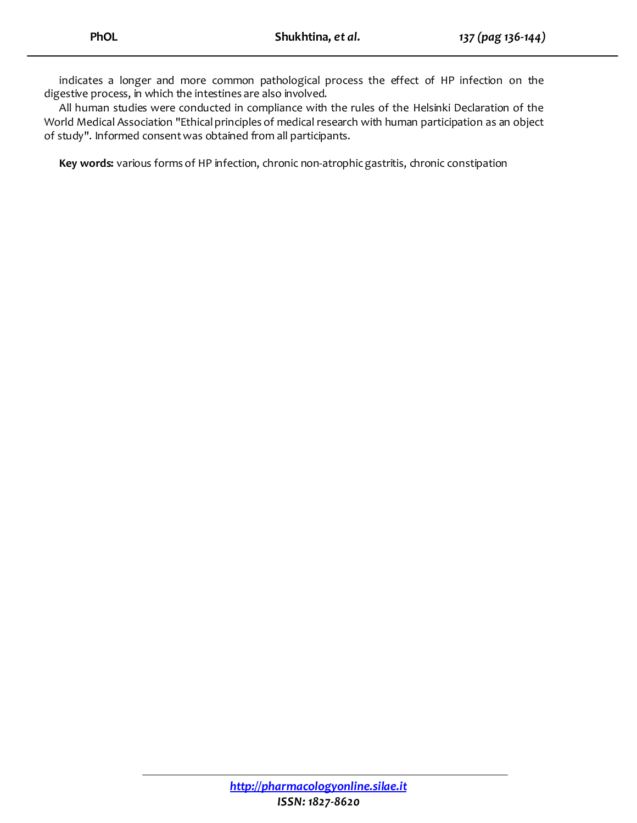indicates a longer and more common pathological process the effect of HP infection on the digestive process, in which the intestines are also involved.

All human studies were conducted in compliance with the rules of the Helsinki Declaration of the World Medical Association "Ethical principles of medical research with human participation as an object of study". Informed consent was obtained from all participants.

Key words: various forms of HP infection, chronic non-atrophic gastritis, chronic constipation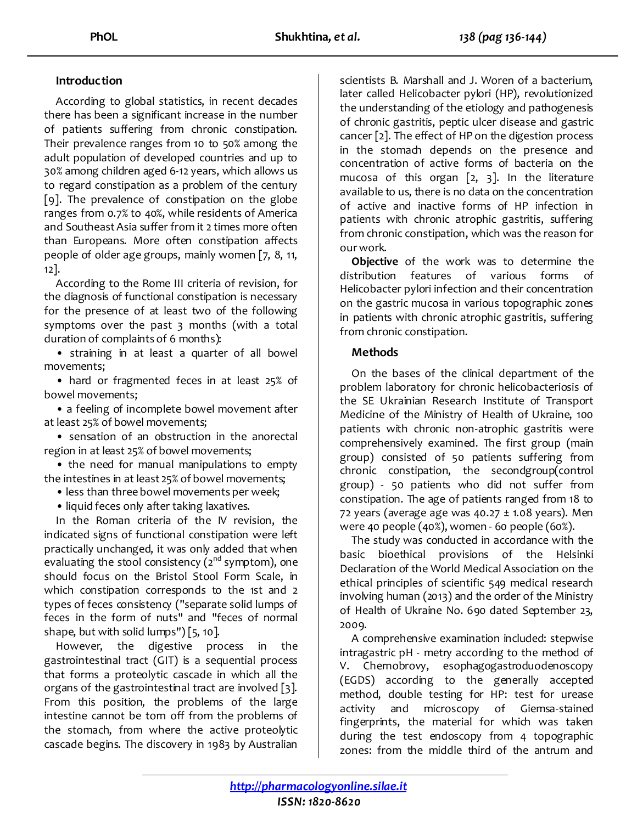## **Introduction**

According to global statistics, in recent decades there has been a significant increase in the number of patients suffering from chronic constipation. Their prevalence ranges from 10 to 50% among the adult population of developed countries and up to 30% among children aged 6-12 years, which allows us to regard constipation as a problem of the century [9]. The prevalence of constipation on the globe ranges from 0.7% to 40%, while residents of America and Southeast Asia suffer from it 2 times more often than Europeans. More often constipation affects people of older age groups, mainly women [7, 8, 11, 12].

According to the Rome III criteria of revision, for the diagnosis of functional constipation is necessary for the presence of at least two of the following symptoms over the past 3 months (with a total duration of complaints of 6 months):

• straining in at least a quarter of all bowel movements;

• hard or fragmented feces in at least 25% of bowel movements;

• a feeling of incomplete bowel movement after at least 25% of bowel movements;

• sensation of an obstruction in the anorectal region in at least 25% of bowel movements;

• the need for manual manipulations to empty the intestines in at least 25% of bowel movements;

• less than three bowel movements per week;

• liquid feces only after taking laxatives.

In the Roman criteria of the IV revision, the indicated signs of functional constipation were left practically unchanged, it was only added that when evaluating the stool consistency ( $2^{nd}$  symptom), one should focus on the Bristol Stool Form Scale, in which constipation corresponds to the 1st and 2 types of feces consistency ("separate solid lumps of feces in the form of nuts" and "feces of normal shape, but with solid lumps") [5, 10].

However, the digestive process in the gastrointestinal tract (GIT) is a sequential process that forms a proteolytic cascade in which all the organs of the gastrointestinal tract are involved [3]. From this position, the problems of the large intestine cannot be tom off from the problems of the stomach, from where the active proteolytic cascade begins. The discovery in 1983 by Australian scientists B. Marshall and J. Woren of a bacterium, later called Helicobacter pylori (HP), revolutionized the understanding of the etiology and pathogenesis of chronic gastritis, peptic ulcer disease and gastric cancer [2]. The effect of HP on the digestion process in the stomach depends on the presence and concentration of active forms of bacteria on the mucosa of this organ  $[2, 3]$ . In the literature available to us, there is no data on the concentration of active and inactive forms of HP infection in patients with chronic atrophic gastritis, suffering from chronic constipation, which was the reason for our work.

**Objective** of the work was to determine the distribution features of various forms of Helicobacter pylori infection and their concentration on the gastric mucosa in various topographic zones in patients with chronic atrophic gastritis, suffering from chronic constipation.

#### **Methods**

On the bases of the clinical department of the problem laboratory for chronic helicobacteriosis of the SE Ukrainian Research Institute of Transport Medicine of the Ministry of Health of Ukraine, 100 patients with chronic non-atrophic gastritis were comprehensively examined. The first group (main group) consisted of 50 patients suffering from chronic constipation, the secondgroup(control group) - 50 patients who did not suffer from constipation. The age of patients ranged from 18 to 72 years (average age was  $40.27 \pm 1.08$  years). Men were 40 people (40%), women - 60 people (60%).

The study was conducted in accordance with the basic bioethical provisions of the Helsinki Declaration of the World Medical Association on the ethical principles of scientific 549 medical research involving human (2013) and the order of the Ministry of Health of Ukraine No. 690 dated September 23, 2009.

A comprehensive examination included: stepwise intragastric pH - metry according to the method of V. Chernobrovy, esophagogastroduodenoscopy (EGDS) according to the generally accepted method, double testing for HP: test for urease activity and microscopy of Giemsa-stained fingerprints, the material for which was taken during the test endoscopy from 4 topographic zones: from the middle third of the antrum and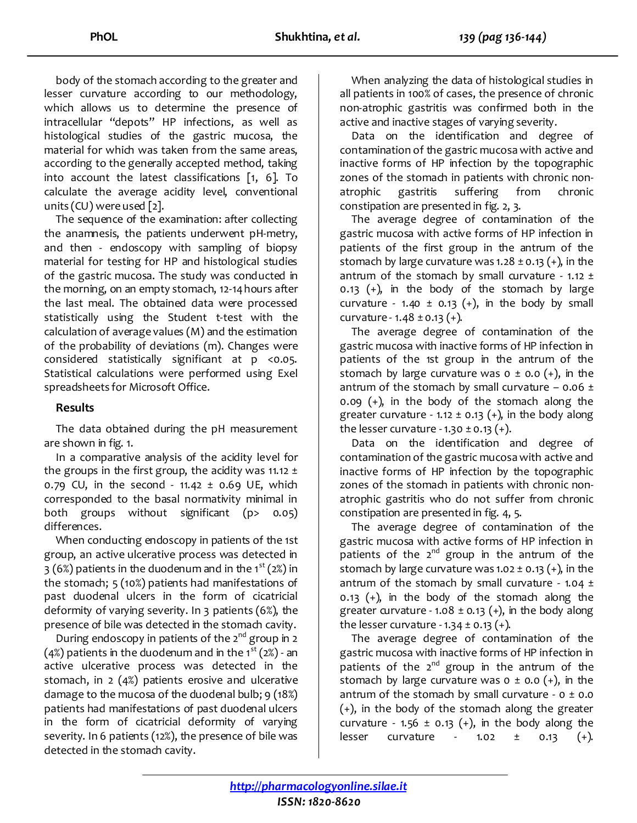body of the stomach according to the greater and lesser curvature according to our methodology, which allows us to determine the presence of intracellular "depots" HP infections, as well as histological studies of the gastric mucosa, the material for which was taken from the same areas, according to the generally accepted method, taking into account the latest classifications [1, 6]. To calculate the average acidity level, conventional units (CU) were used [2].

The sequence of the examination: after collecting the anamnesis, the patients underwent pH-metry, and then - endoscopy with sampling of biopsy material for testing for HP and histological studies of the gastric mucosa. The study was conducted in the morning, on an empty stomach, 12-14 hours after the last meal. The obtained data were processed statistically using the Student t-test with the calculation of average values (M) and the estimation of the probability of deviations (m). Changes were considered statistically significant at p <0.05. Statistical calculations were performed using Exel spreadsheets for Microsoft Office.

## **Results**

The data obtained during the pH measurement are shown in fig. 1.

In a comparative analysis of the acidity level for the groups in the first group, the acidity was 11.12  $\pm$ 0.79 CU, in the second -  $11.42 \pm 0.69$  UE, which corresponded to the basal normativity minimal in both groups without significant (p> 0.05) differences.

When conducting endoscopy in patients of the 1st group, an active ulcerative process was detected in 3 (6%) patients in the duodenum and in the  $1^{st}$  (2%) in the stomach; 5 (10%) patients had manifestations of past duodenal ulcers in the form of cicatricial deformity of varying severity. In 3 patients (6%), the presence of bile was detected in the stomach cavity.

During endoscopy in patients of the  $2^{nd}$  group in  $2$ (4%) patients in the duodenum and in the  $1^{st}$  (2%) - an active ulcerative process was detected in the stomach, in 2 (4%) patients erosive and ulcerative damage to the mucosa of the duodenal bulb; 9 (18%) patients had manifestations of past duodenal ulcers in the form of cicatricial deformity of varying severity. In 6 patients (12%), the presence of bile was detected in the stomach cavity.

When analyzing the data of histological studies in all patients in 100% of cases, the presence of chronic non-atrophic gastritis was confirmed both in the active and inactive stages of varying severity.

Data on the identification and degree of contamination of the gastric mucosa with active and inactive forms of HP infection by the topographic zones of the stomach in patients with chronic nonatrophic gastritis suffering from chronic constipation are presented in fig. 2, 3.

The average degree of contamination of the gastric mucosa with active forms of HP infection in patients of the first group in the antrum of the stomach by large curvature was 1.28  $\pm$  0.13 (+), in the antrum of the stomach by small curvature -  $1.12 \pm 1.12$ 0.13  $(+)$ , in the body of the stomach by large curvature - 1.40  $\pm$  0.13 (+), in the body by small curvature -  $1.48 \pm 0.13$  (+).

The average degree of contamination of the gastric mucosa with inactive forms of HP infection in patients of the 1st group in the antrum of the stomach by large curvature was  $o \pm o.o (+)$ , in the antrum of the stomach by small curvature  $-$  0.06  $\pm$ 0.09 (+), in the body of the stomach along the greater curvature - 1.12  $\pm$  0.13 (+), in the body along the lesser curvature -  $1.30 \pm 0.13$  (+).

Data on the identification and degree of contamination of the gastric mucosa with active and inactive forms of HP infection by the topographic zones of the stomach in patients with chronic nonatrophic gastritis who do not suffer from chronic constipation are presented in fig. 4, 5.

The average degree of contamination of the gastric mucosa with active forms of HP infection in patients of the  $2^{nd}$  group in the antrum of the stomach by large curvature was 1.02  $\pm$  0.13 (+), in the antrum of the stomach by small curvature - 1.04  $\pm$ 0.13  $(+)$ , in the body of the stomach along the greater curvature - 1.08  $\pm$  0.13 (+), in the body along the lesser curvature -  $1.34 \pm 0.13$  (+).

The average degree of contamination of the gastric mucosa with inactive forms of HP infection in patients of the  $2^{nd}$  group in the antrum of the stomach by large curvature was  $o \pm o.o (+)$ , in the antrum of the stomach by small curvature -  $0 \pm 0.0$ (+), in the body of the stomach along the greater curvature - 1.56  $\pm$  0.13 (+), in the body along the lesser curvature - 1.02 ± 0.13 (+).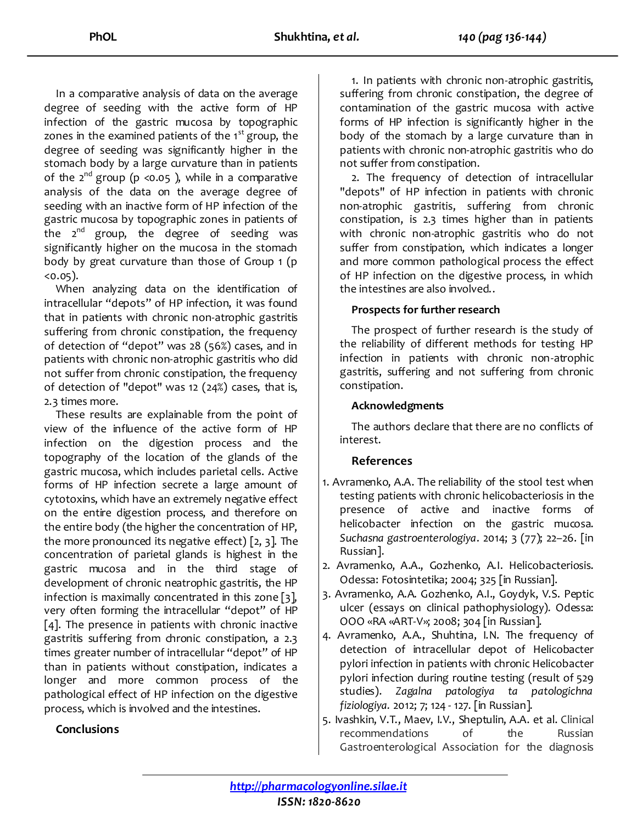In a comparative analysis of data on the average degree of seeding with the active form of HP infection of the gastric mucosa by topographic zones in the examined patients of the  $1<sup>st</sup>$  group, the degree of seeding was significantly higher in the stomach body by a large curvature than in patients of the 2<sup>nd</sup> group (p <0.05), while in a comparative analysis of the data on the average degree of seeding with an inactive form of HP infection of the gastric mucosa by topographic zones in patients of the  $2^{nd}$  group, the degree of seeding was significantly higher on the mucosa in the stomach body by great curvature than those of Group 1 (p  $(0.05)$ .

When analyzing data on the identification of intracellular "depots" of HP infection, it was found that in patients with chronic non-atrophic gastritis suffering from chronic constipation, the frequency of detection of "depot" was 28 (56%) cases, and in patients with chronic non-atrophic gastritis who did not suffer from chronic constipation, the frequency of detection of "depot" was 12 (24%) cases, that is, 2.3 times more.

These results are explainable from the point of view of the influence of the active form of HP infection on the digestion process and the topography of the location of the glands of the gastric mucosa, which includes parietal cells. Active forms of HP infection secrete a large amount of cytotoxins, which have an extremely negative effect on the entire digestion process, and therefore on the entire body (the higher the concentration of HP, the more pronounced its negative effect) [2, 3]. The concentration of parietal glands is highest in the gastric mucosa and in the third stage of development of chronic neatrophic gastritis, the HP infection is maximally concentrated in this zone [3], very often forming the intracellular "depot" of HP [4]. The presence in patients with chronic inactive gastritis suffering from chronic constipation, a 2.3 times greater number of intracellular "depot" of HP than in patients without constipation, indicates a longer and more common process of the pathological effect of HP infection on the digestive process, which is involved and the intestines.

1. In patients with chronic non-atrophic gastritis, suffering from chronic constipation, the degree of contamination of the gastric mucosa with active forms of HP infection is significantly higher in the body of the stomach by a large curvature than in patients with chronic non-atrophic gastritis who do not suffer from constipation.

2. The frequency of detection of intracellular "depots" of HP infection in patients with chronic non-atrophic gastritis, suffering from chronic constipation, is 2.3 times higher than in patients with chronic non-atrophic gastritis who do not suffer from constipation, which indicates a longer and more common pathological process the effect of HP infection on the digestive process, in which the intestines are also involved..

#### **Рrospects for further research**

The prospect of further research is the study of the reliability of different methods for testing HP infection in patients with chronic non-atrophic gastritis, suffering and not suffering from chronic constipation.

## **Acknowledgments**

The authors declare that there are no conflicts of interest.

## **References**

- 1. Avramenko, A.A. Тhe reliability of the stool test when testing patients with chronic helicobacteriosis in the presence of active and inactive forms of helicobacter infection on the gastric mucosa. *Suchasna gastroenterologiya*. 2014; 3 (77); 22–26. [in Russian].
- 2. Avramenko, A.A., Gozhenko, A.I. Helicobacteriosis. Odessa: Fotosintetika; 2004; 325 [in Russian].
- 3. Avramenko, A.A. Gozhenko, A.I., Goydyk, V.S. Peptic ulcer (essays on clinical pathophysiology)*.* Odessa: OOO «RA «ART-V»; 2008; 304 [in Russian].
- 4. Avramenko, A.A., Shuhtina, I.N. The frequency of detection of intracellular depot of Helicobacter pylori infection in patients with chronic Helicobacter pylori infection during routine testing (result of 529 studies). *Zagalna patologiya ta patologichna fiziologiya.* 2012; 7; 124 - 127. [in Russian].
- 5. Ivashkin, V.T., Maev, I.V., Sheptulin, A.A. et al. Clinical recommendations of the Russian Gastroenterological Association for the diagnosis

## **Conclusions**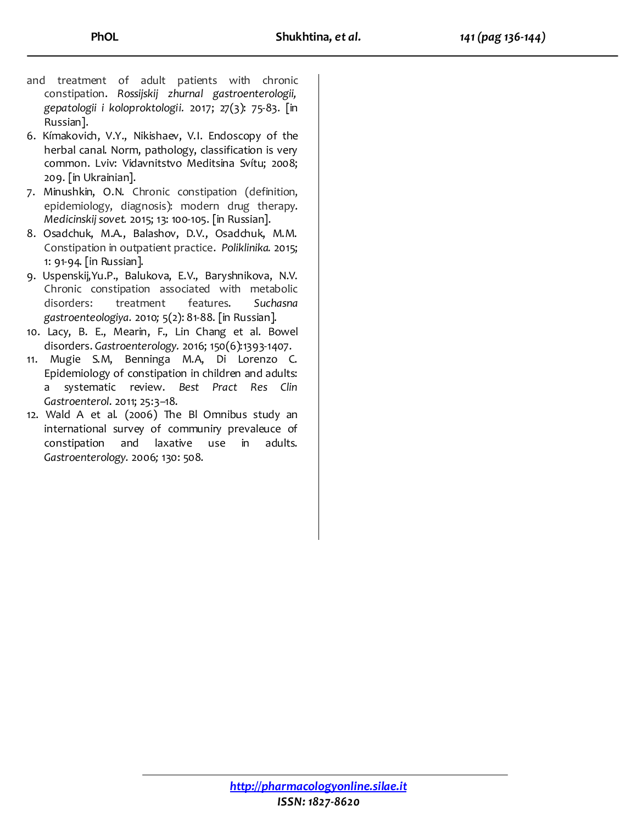- and treatment of adult patients with chronic constipation. *Rossijskij zhurnal gastroenterologii, gepatologii i koloproktologii.* 2017; 27(3): 75-83. [in Russian].
- 6. Kímakovich, V.Y., Nikishaev, V.I. Endoscopy of the herbal canal. Norm, pathology, classification is very common. Lviv: Vidavnitstvo Meditsina Svítu; 2008; 209. [in Ukrainian].
- 7. Minushkin, O.N. Chronic constipation (definition, epidemiology, diagnosis): modern drug therapy. *Medicinskij sovet.* 2015; 13: 100-105. [in Russian].
- 8. Osadchuk, M.A., Balashov, D.V., Osadchuk, M.M. Constipation in outpatient practice. *Poliklinika.* 2015; 1: 91-94. [in Russian].
- 9. Uspenskij,Yu.P., Balukova, E.V., Baryshnikova, N.V. Chronic constipation associated with metabolic disorders: treatment features. *Suchasna gastroenteologiya.* 2010*;* 5(2): 81-88. [in Russian].
- 10. Lacy, B. E., Mearin, F., Lin Chang et al. Bowel disorders. *Gastroenterology.* 2016; 150(6):1393-1407.
- 11. Mugie S.M, Benninga M.A, Di Lorenzo C. Epidemiology of constipation in children and adults: a systematic review. *Best Pract Res Clin Gastroenterol*. 2011; 25:3–18.
- 12. Wald A et al. (2006) The Bl Omnibus study an international survey of communiry prevaleuce of constipation and laxative use in adults. *Gastroenterology.* 2006*;* 130: 508.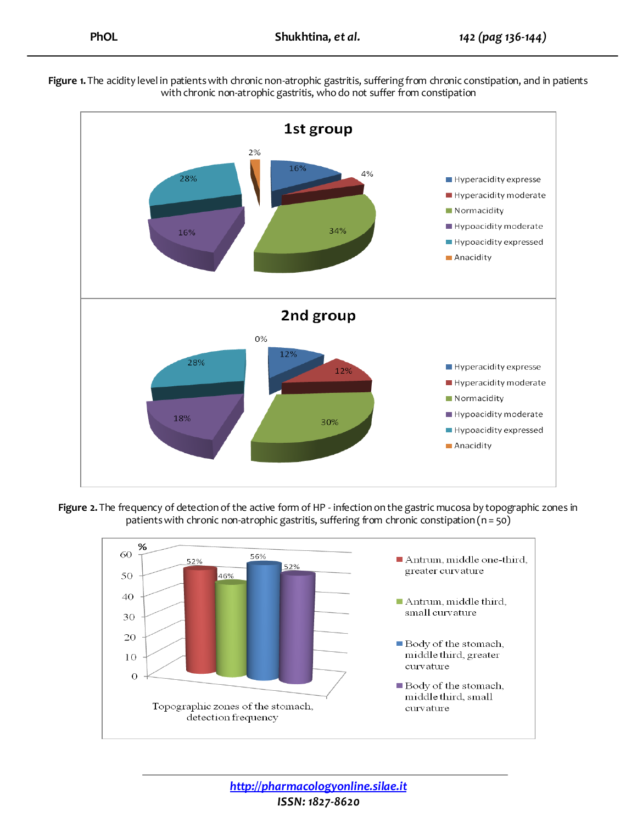



**Figure 2.** The frequency of detection of the active form of HP - infection on the gastric mucosa by topographic zones in patients with chronic non-atrophic gastritis, suffering from chronic constipation (n = 50)



*http://pharmacologyonline.silae.it ISSN: 1827-8620*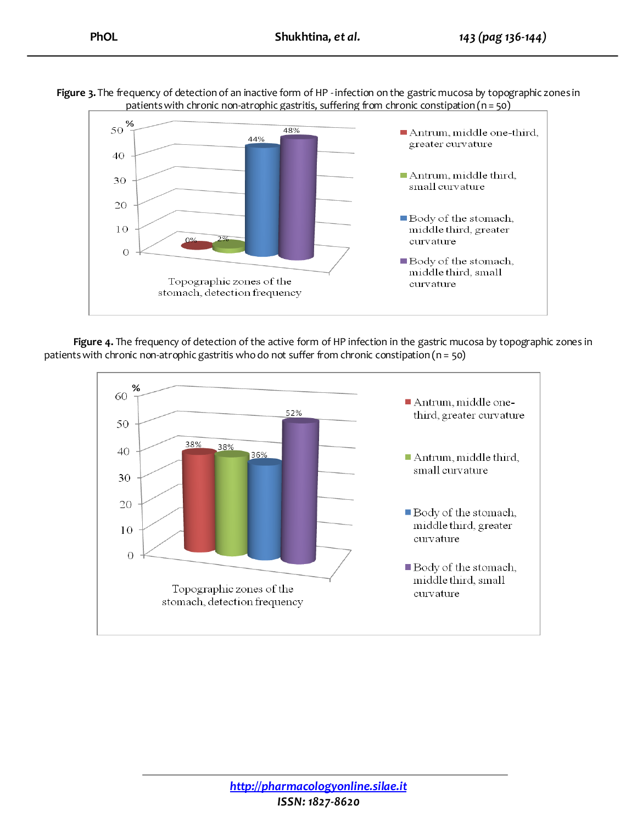**Figure 3.** The frequency of detection of an inactive form of HP - infection on the gastric mucosa by topographic zones in patients with chronic non-atrophic gastritis, suffering from chronic constipation (n = 50)



**Figure 4.** The frequency of detection of the active form of HP infection in the gastric mucosa by topographic zones in patients with chronic non-atrophic gastritis who do not suffer from chronic constipation (n = 50)